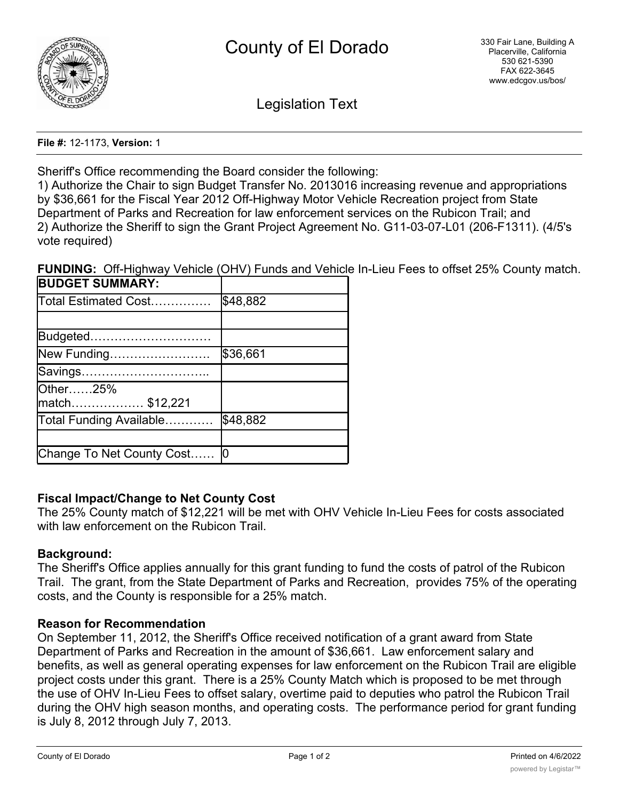

Legislation Text

**File #:** 12-1173, **Version:** 1

Sheriff's Office recommending the Board consider the following:

1) Authorize the Chair to sign Budget Transfer No. 2013016 increasing revenue and appropriations by \$36,661 for the Fiscal Year 2012 Off-Highway Motor Vehicle Recreation project from State Department of Parks and Recreation for law enforcement services on the Rubicon Trail; and 2) Authorize the Sheriff to sign the Grant Project Agreement No. G11-03-07-L01 (206-F1311). (4/5's vote required)

**FUNDING:** Off-Highway Vehicle (OHV) Funds and Vehicle In-Lieu Fees to offset 25% County match.

| <b>BUDGET SUMMARY:</b>    |          |
|---------------------------|----------|
| Total Estimated Cost      | \$48,882 |
|                           |          |
| Budgeted                  |          |
| New Funding               | \$36,661 |
| Savings                   |          |
| Other25%                  |          |
| match\$12,221             |          |
| Total Funding Available   | \$48,882 |
|                           |          |
| Change To Net County Cost |          |

## **Fiscal Impact/Change to Net County Cost**

The 25% County match of \$12,221 will be met with OHV Vehicle In-Lieu Fees for costs associated with law enforcement on the Rubicon Trail.

### **Background:**

The Sheriff's Office applies annually for this grant funding to fund the costs of patrol of the Rubicon Trail. The grant, from the State Department of Parks and Recreation, provides 75% of the operating costs, and the County is responsible for a 25% match.

## **Reason for Recommendation**

On September 11, 2012, the Sheriff's Office received notification of a grant award from State Department of Parks and Recreation in the amount of \$36,661. Law enforcement salary and benefits, as well as general operating expenses for law enforcement on the Rubicon Trail are eligible project costs under this grant. There is a 25% County Match which is proposed to be met through the use of OHV In-Lieu Fees to offset salary, overtime paid to deputies who patrol the Rubicon Trail during the OHV high season months, and operating costs. The performance period for grant funding is July 8, 2012 through July 7, 2013.